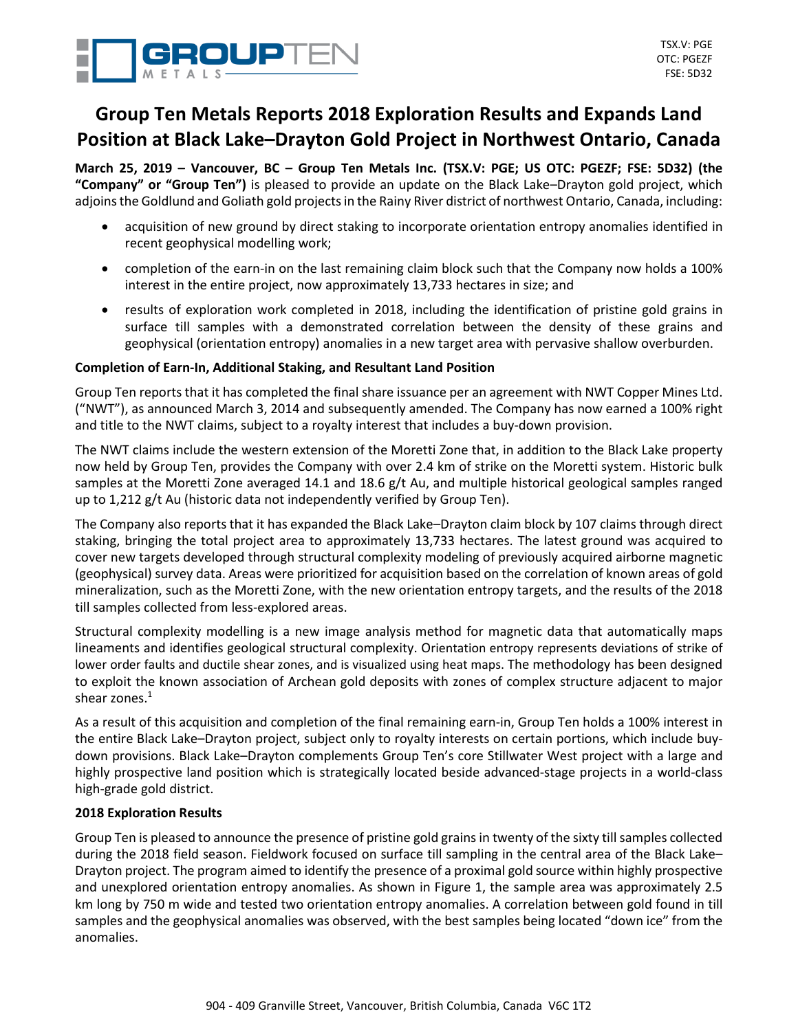

# **Group Ten Metals Reports 2018 Exploration Results and Expands Land Position at Black Lake–Drayton Gold Project in Northwest Ontario, Canada**

March 25, 2019 - Vancouver, BC - Group Ten Metals Inc. (TSX.V: PGE; US OTC: PGEZF; FSE: 5D32) (the **"Company" or "Group Ten")** is pleased to provide an update on the Black Lake–Drayton gold project, which adjoins the Goldlund and Goliath gold projects in the Rainy River district of northwest Ontario, Canada, including:

- acquisition of new ground by direct staking to incorporate orientation entropy anomalies identified in recent geophysical modelling work;
- completion of the earn-in on the last remaining claim block such that the Company now holds a 100% interest in the entire project, now approximately 13,733 hectares in size; and
- results of exploration work completed in 2018, including the identification of pristine gold grains in surface till samples with a demonstrated correlation between the density of these grains and geophysical (orientation entropy) anomalies in a new target area with pervasive shallow overburden.

# **Completion of Earn-In, Additional Staking, and Resultant Land Position**

Group Ten reports that it has completed the final share issuance per an agreement with NWT Copper Mines Ltd. ("NWT"), as announced March 3, 2014 and subsequently amended. The Company has now earned a 100% right and title to the NWT claims, subject to a royalty interest that includes a buy-down provision.

The NWT claims include the western extension of the Moretti Zone that, in addition to the Black Lake property now held by Group Ten, provides the Company with over 2.4 km of strike on the Moretti system. Historic bulk samples at the Moretti Zone averaged 14.1 and 18.6 g/t Au, and multiple historical geological samples ranged up to 1,212 g/t Au (historic data not independently verified by Group Ten).

The Company also reports that it has expanded the Black Lake–Drayton claim block by 107 claims through direct staking, bringing the total project area to approximately 13,733 hectares. The latest ground was acquired to cover new targets developed through structural complexity modeling of previously acquired airborne magnetic (geophysical) survey data. Areas were prioritized for acquisition based on the correlation of known areas of gold mineralization, such as the Moretti Zone, with the new orientation entropy targets, and the results of the 2018 till samples collected from less-explored areas.

Structural complexity modelling is a new image analysis method for magnetic data that automatically maps lineaments and identifies geological structural complexity. Orientation entropy represents deviations of strike of lower order faults and ductile shear zones, and is visualized using heat maps. The methodology has been designed to exploit the known association of Archean gold deposits with zones of complex structure adjacent to major shear zones.<sup>1</sup>

As a result of this acquisition and completion of the final remaining earn-in, Group Ten holds a 100% interest in the entire Black Lake–Drayton project, subject only to royalty interests on certain portions, which include buydown provisions. Black Lake–Drayton complements Group Ten's core Stillwater West project with a large and highly prospective land position which is strategically located beside advanced-stage projects in a world-class high-grade gold district.

# **2018 Exploration Results**

Group Ten is pleased to announce the presence of pristine gold grains in twenty of the sixty till samples collected during the 2018 field season. Fieldwork focused on surface till sampling in the central area of the Black Lake– Drayton project. The program aimed to identify the presence of a proximal gold source within highly prospective and unexplored orientation entropy anomalies. As shown in Figure 1, the sample area was approximately 2.5 km long by 750 m wide and tested two orientation entropy anomalies. A correlation between gold found in till samples and the geophysical anomalies was observed, with the best samples being located "down ice" from the anomalies.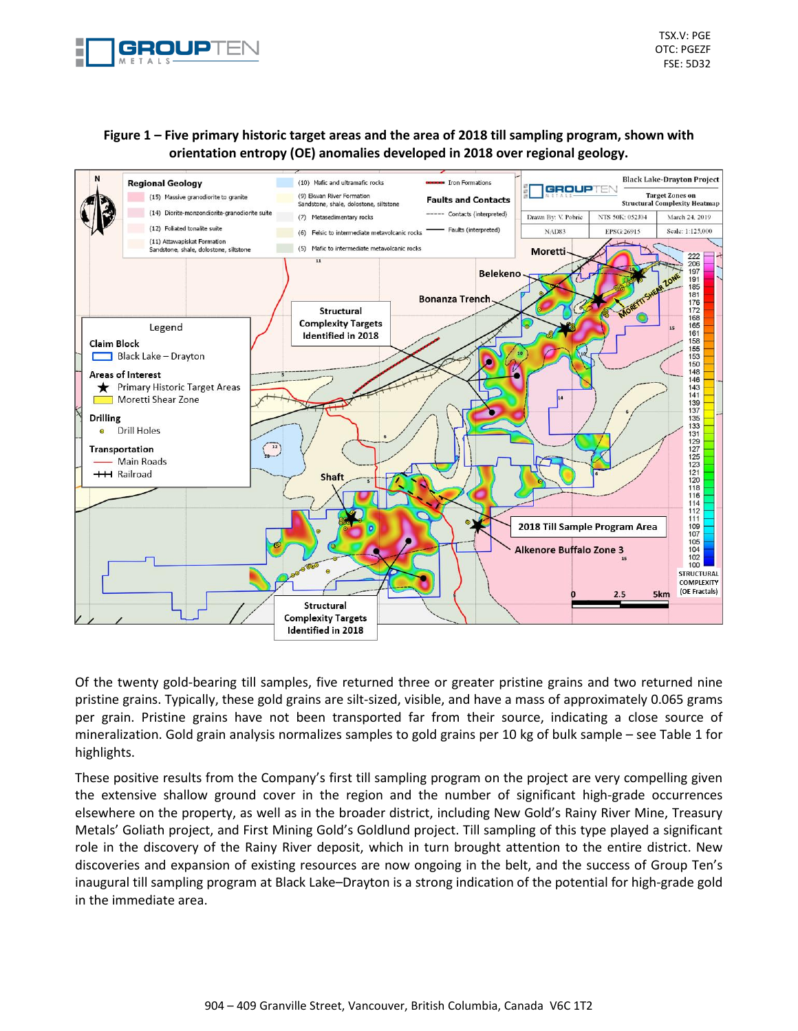

TSX.V: PGE OTC: PGEZF FSE: 5D32

# Figure 1 - Five primary historic target areas and the area of 2018 till sampling program, shown with **orientation entropy (OE) anomalies developed in 2018 over regional geology.**



Of the twenty gold-bearing till samples, five returned three or greater pristine grains and two returned nine pristine grains. Typically, these gold grains are silt-sized, visible, and have a mass of approximately 0.065 grams per grain. Pristine grains have not been transported far from their source, indicating a close source of mineralization. Gold grain analysis normalizes samples to gold grains per 10 kg of bulk sample – see Table 1 for highlights.

These positive results from the Company's first till sampling program on the project are very compelling given the extensive shallow ground cover in the region and the number of significant high-grade occurrences elsewhere on the property, as well as in the broader district, including New Gold's Rainy River Mine, Treasury Metals' Goliath project, and First Mining Gold's Goldlund project. Till sampling of this type played a significant role in the discovery of the Rainy River deposit, which in turn brought attention to the entire district. New discoveries and expansion of existing resources are now ongoing in the belt, and the success of Group Ten's inaugural till sampling program at Black Lake–Drayton is a strong indication of the potential for high-grade gold in the immediate area.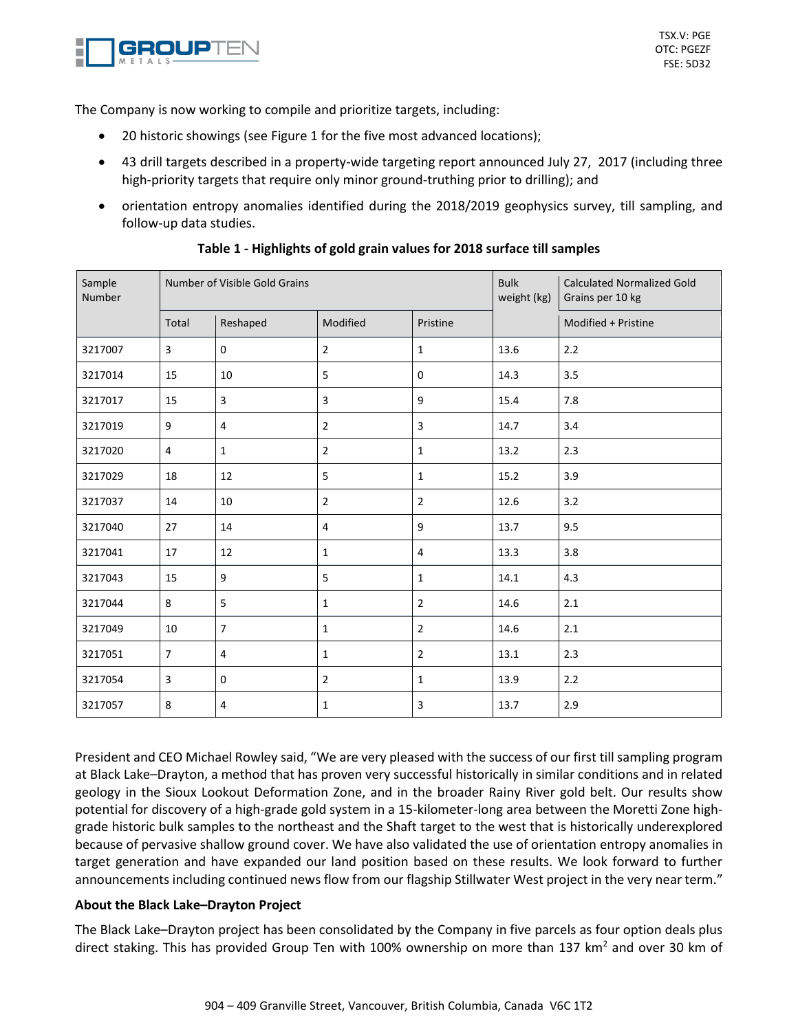

The Company is now working to compile and prioritize targets, including:

- 20 historic showings (see Figure 1 for the five most advanced locations);
- 43 drill targets described in a property-wide targeting report announced July 27, 2017 (including three high-priority targets that require only minor ground-truthing prior to drilling); and
- orientation entropy anomalies identified during the 2018/2019 geophysics survey, till sampling, and follow-up data studies.

| Sample<br><b>Number</b> | Number of Visible Gold Grains |                |                |                | <b>Bulk</b><br>weight (kg) | <b>Calculated Normalized Gold</b><br>Grains per 10 kg |
|-------------------------|-------------------------------|----------------|----------------|----------------|----------------------------|-------------------------------------------------------|
|                         | Total                         | Reshaped       | Modified       | Pristine       |                            | Modified + Pristine                                   |
| 3217007                 | 3                             | 0              | $\overline{2}$ | $\mathbf{1}$   | 13.6                       | 2.2                                                   |
| 3217014                 | 15                            | 10             | 5              | 0              | 14.3                       | 3.5                                                   |
| 3217017                 | 15                            | 3              | 3              | 9              | 15.4                       | 7.8                                                   |
| 3217019                 | $\boldsymbol{9}$              | 4              | $\overline{2}$ | 3              | 14.7                       | 3.4                                                   |
| 3217020                 | 4                             | $\mathbf{1}$   | $\overline{2}$ | $\mathbf{1}$   | 13.2                       | 2.3                                                   |
| 3217029                 | 18                            | 12             | 5              | $\mathbf{1}$   | 15.2                       | 3.9                                                   |
| 3217037                 | 14                            | 10             | $\overline{2}$ | $\overline{2}$ | 12.6                       | 3.2                                                   |
| 3217040                 | 27                            | 14             | 4              | 9              | 13.7                       | 9.5                                                   |
| 3217041                 | 17                            | 12             | $\mathbf{1}$   | 4              | 13.3                       | 3.8                                                   |
| 3217043                 | 15                            | 9              | 5              | $\mathbf{1}$   | 14.1                       | 4.3                                                   |
| 3217044                 | 8                             | 5              | $\mathbf{1}$   | $\overline{2}$ | 14.6                       | 2.1                                                   |
| 3217049                 | 10                            | $\overline{7}$ | $\mathbf{1}$   | $\overline{2}$ | 14.6                       | 2.1                                                   |
| 3217051                 | $\overline{7}$                | 4              | $\mathbf{1}$   | $\overline{2}$ | 13.1                       | 2.3                                                   |
| 3217054                 | $\mathsf{3}$                  | 0              | $\overline{2}$ | $\mathbf{1}$   | 13.9                       | 2.2                                                   |
| 3217057                 | 8                             | 4              | $\mathbf{1}$   | 3              | 13.7                       | 2.9                                                   |

# **Table 1 - Highlights of gold grain values for 2018 surface till samples**

President and CEO Michael Rowley said, "We are very pleased with the success of our first till sampling program at Black Lake–Drayton, a method that has proven very successful historically in similar conditions and in related geology in the Sioux Lookout Deformation Zone, and in the broader Rainy River gold belt. Our results show potential for discovery of a high-grade gold system in a 15-kilometer-long area between the Moretti Zone highgrade historic bulk samples to the northeast and the Shaft target to the west that is historically underexplored because of pervasive shallow ground cover. We have also validated the use of orientation entropy anomalies in target generation and have expanded our land position based on these results. We look forward to further announcements including continued news flow from our flagship Stillwater West project in the very near term."

# **About the Black Lake–Drayton Project**

The Black Lake–Drayton project has been consolidated by the Company in five parcels as four option deals plus direct staking. This has provided Group Ten with 100% ownership on more than 137 km<sup>2</sup> and over 30 km of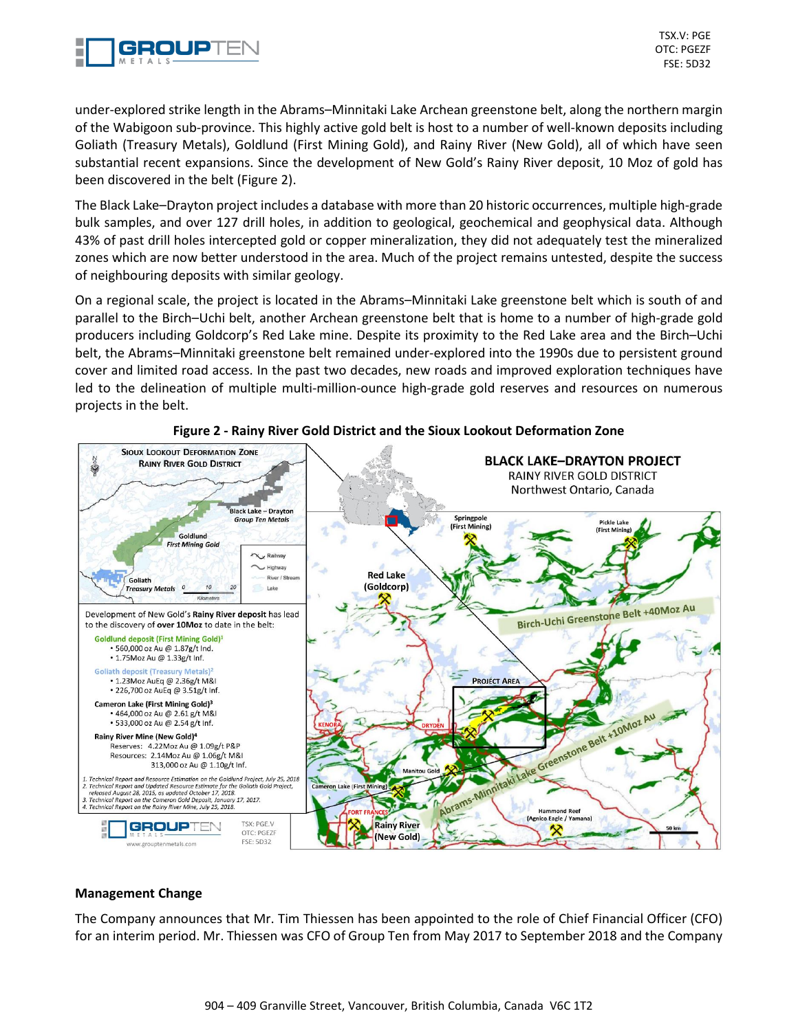

TSX.V: PGE OTC: PGEZF FSE: 5D32

under-explored strike length in the Abrams–Minnitaki Lake Archean greenstone belt, along the northern margin of the Wabigoon sub-province. This highly active gold belt is host to a number of well-known deposits including Goliath (Treasury Metals), Goldlund (First Mining Gold), and Rainy River (New Gold), all of which have seen substantial recent expansions. Since the development of New Gold's Rainy River deposit, 10 Moz of gold has been discovered in the belt (Figure 2).

The Black Lake–Drayton project includes a database with more than 20 historic occurrences, multiple high-grade bulk samples, and over 127 drill holes, in addition to geological, geochemical and geophysical data. Although 43% of past drill holes intercepted gold or copper mineralization, they did not adequately test the mineralized zones which are now better understood in the area. Much of the project remains untested, despite the success of neighbouring deposits with similar geology.

On a regional scale, the project is located in the Abrams–Minnitaki Lake greenstone belt which is south of and parallel to the Birch–Uchi belt, another Archean greenstone belt that is home to a number of high-grade gold producers including Goldcorp's Red Lake mine. Despite its proximity to the Red Lake area and the Birch–Uchi belt, the Abrams–Minnitaki greenstone belt remained under-explored into the 1990s due to persistent ground cover and limited road access. In the past two decades, new roads and improved exploration techniques have led to the delineation of multiple multi-million-ounce high-grade gold reserves and resources on numerous projects in the belt.



## **Figure 2 - Rainy River Gold District and the Sioux Lookout Deformation Zone**

## **Management Change**

The Company announces that Mr. Tim Thiessen has been appointed to the role of Chief Financial Officer (CFO) for an interim period. Mr. Thiessen was CFO of Group Ten from May 2017 to September 2018 and the Company